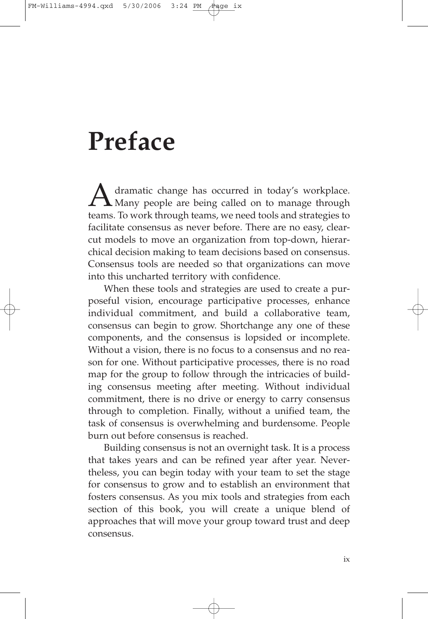## **Preface**

A dramatic change has occurred in today's workplace.<br>Many people are being called on to manage through<br>tooms. To work through tooms, we need tools and strategies to teams. To work through teams, we need tools and strategies to facilitate consensus as never before. There are no easy, clearcut models to move an organization from top-down, hierarchical decision making to team decisions based on consensus. Consensus tools are needed so that organizations can move into this uncharted territory with confidence.

When these tools and strategies are used to create a purposeful vision, encourage participative processes, enhance individual commitment, and build a collaborative team, consensus can begin to grow. Shortchange any one of these components, and the consensus is lopsided or incomplete. Without a vision, there is no focus to a consensus and no reason for one. Without participative processes, there is no road map for the group to follow through the intricacies of building consensus meeting after meeting. Without individual commitment, there is no drive or energy to carry consensus through to completion. Finally, without a unified team, the task of consensus is overwhelming and burdensome. People burn out before consensus is reached.

Building consensus is not an overnight task. It is a process that takes years and can be refined year after year. Nevertheless, you can begin today with your team to set the stage for consensus to grow and to establish an environment that fosters consensus. As you mix tools and strategies from each section of this book, you will create a unique blend of approaches that will move your group toward trust and deep consensus.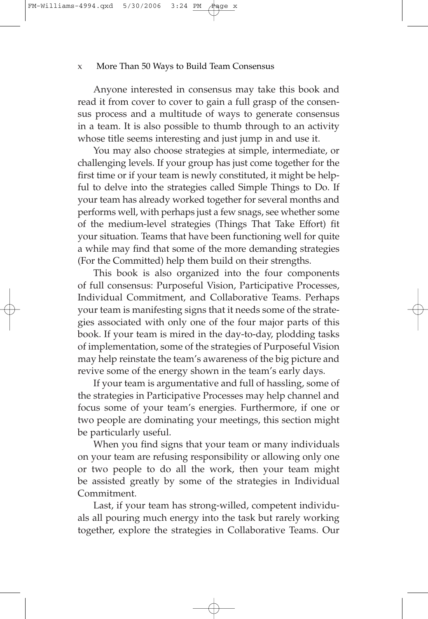Anyone interested in consensus may take this book and read it from cover to cover to gain a full grasp of the consensus process and a multitude of ways to generate consensus in a team. It is also possible to thumb through to an activity whose title seems interesting and just jump in and use it.

You may also choose strategies at simple, intermediate, or challenging levels. If your group has just come together for the first time or if your team is newly constituted, it might be helpful to delve into the strategies called Simple Things to Do. If your team has already worked together for several months and performs well, with perhaps just a few snags, see whether some of the medium-level strategies (Things That Take Effort) fit your situation. Teams that have been functioning well for quite a while may find that some of the more demanding strategies (For the Committed) help them build on their strengths.

This book is also organized into the four components of full consensus: Purposeful Vision, Participative Processes, Individual Commitment, and Collaborative Teams. Perhaps your team is manifesting signs that it needs some of the strategies associated with only one of the four major parts of this book. If your team is mired in the day-to-day, plodding tasks of implementation, some of the strategies of Purposeful Vision may help reinstate the team's awareness of the big picture and revive some of the energy shown in the team's early days.

If your team is argumentative and full of hassling, some of the strategies in Participative Processes may help channel and focus some of your team's energies. Furthermore, if one or two people are dominating your meetings, this section might be particularly useful.

When you find signs that your team or many individuals on your team are refusing responsibility or allowing only one or two people to do all the work, then your team might be assisted greatly by some of the strategies in Individual Commitment.

Last, if your team has strong-willed, competent individuals all pouring much energy into the task but rarely working together, explore the strategies in Collaborative Teams. Our